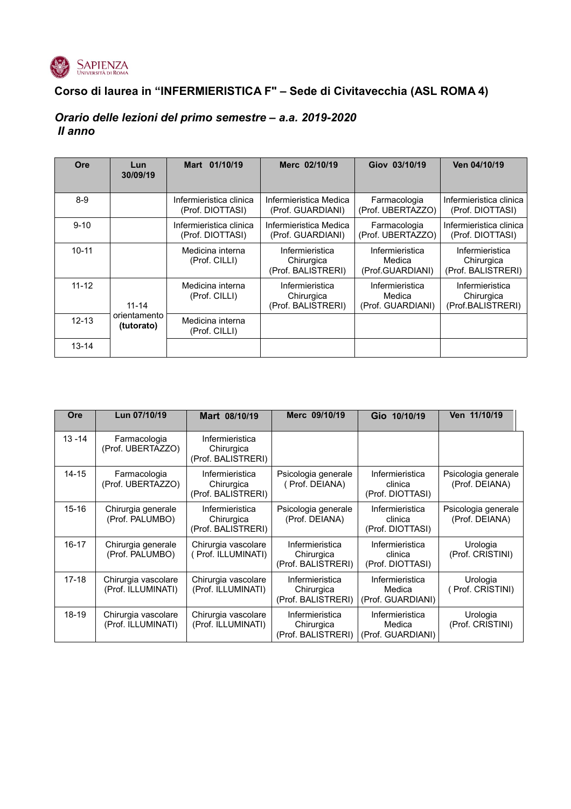

# **Corso di laurea in "INFERMIERISTICA F" – Sede di Civitavecchia (ASL ROMA 4)**

## *Orario delle lezioni del primo semestre – a.a. 2019-2020 II anno*

| Ore       | Lun<br>30/09/19            | Mart 01/10/19                               | Merc 02/10/19                                       | Giov 03/10/19                                  | Ven 04/10/19                                        |
|-----------|----------------------------|---------------------------------------------|-----------------------------------------------------|------------------------------------------------|-----------------------------------------------------|
| $8-9$     |                            | Infermieristica clinica<br>(Prof. DIOTTASI) | Infermieristica Medica<br>(Prof. GUARDIANI)         | Farmacologia<br>(Prof. UBERTAZZO)              | Infermieristica clinica<br>(Prof. DIOTTASI)         |
| $9 - 10$  |                            | Infermieristica clinica<br>(Prof. DIOTTASI) | Infermieristica Medica<br>(Prof. GUARDIANI)         | Farmacologia<br>(Prof. UBERTAZZO)              | Infermieristica clinica<br>(Prof. DIOTTASI)         |
| $10 - 11$ |                            | Medicina interna<br>(Prof. CILLI)           | Infermieristica<br>Chirurgica<br>(Prof. BALISTRERI) | Infermieristica<br>Medica<br>(Prof.GUARDIANI)  | Infermieristica<br>Chirurgica<br>(Prof. BALISTRERI) |
| $11 - 12$ | $11 - 14$                  | Medicina interna<br>(Prof. CILLI)           | Infermieristica<br>Chirurgica<br>(Prof. BALISTRERI) | Infermieristica<br>Medica<br>(Prof. GUARDIANI) | Infermieristica<br>Chirurgica<br>(Prof.BALISTRERI)  |
| $12 - 13$ | orientamento<br>(tutorato) | Medicina interna<br>(Prof. CILLI)           |                                                     |                                                |                                                     |
| $13 - 14$ |                            |                                             |                                                     |                                                |                                                     |

| Ore       | Lun 07/10/19                              | Mart 08/10/19                                       | Merc 09/10/19                                       | Gio 10/10/19                                   | Ven 11/10/19                          |
|-----------|-------------------------------------------|-----------------------------------------------------|-----------------------------------------------------|------------------------------------------------|---------------------------------------|
| $13 - 14$ | Farmacologia<br>(Prof. UBERTAZZO)         | Infermieristica<br>Chirurgica<br>(Prof. BALISTRERI) |                                                     |                                                |                                       |
| $14 - 15$ | Farmacologia<br>(Prof. UBERTAZZO)         | Infermieristica<br>Chirurgica<br>(Prof. BALISTRERI) | Psicologia generale<br>(Prof. DEIANA)               | Infermieristica<br>clinica<br>(Prof. DIOTTASI) | Psicologia generale<br>(Prof. DEIANA) |
| $15 - 16$ | Chirurgia generale<br>(Prof. PALUMBO)     | Infermieristica<br>Chirurgica<br>(Prof. BALISTRERI) | Psicologia generale<br>(Prof. DEIANA)               | Infermieristica<br>clinica<br>(Prof. DIOTTASI) | Psicologia generale<br>(Prof. DEIANA) |
| $16 - 17$ | Chirurgia generale<br>(Prof. PALUMBO)     | Chirurgia vascolare<br>(Prof. ILLUMINATI)           | Infermieristica<br>Chirurgica<br>(Prof. BALISTRERI) | Infermieristica<br>clinica<br>(Prof. DIOTTASI) | Urologia<br>(Prof. CRISTINI)          |
| $17-18$   | Chirurgia vascolare<br>(Prof. ILLUMINATI) | Chirurgia vascolare<br>(Prof. ILLUMINATI)           | Infermieristica<br>Chirurgica<br>(Prof. BALISTRERI) | Infermieristica<br>Medica<br>(Prof. GUARDIANI) | Urologia<br>Prof. CRISTINI)           |
| 18-19     | Chirurgia vascolare<br>(Prof. ILLUMINATI) | Chirurgia vascolare<br>(Prof. ILLUMINATI)           | Infermieristica<br>Chirurgica<br>(Prof. BALISTRERI) | Infermieristica<br>Medica<br>(Prof. GUARDIANI) | Urologia<br>(Prof. CRISTINI)          |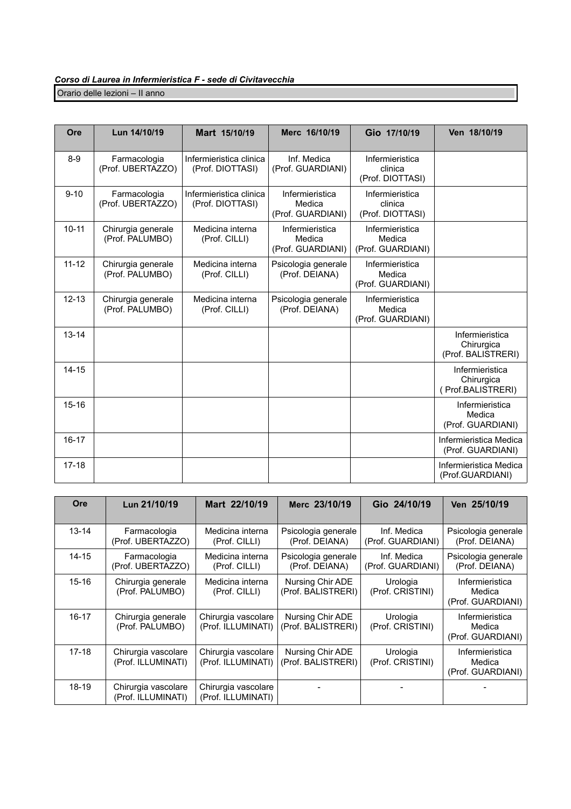Orario delle lezioni – II anno

| Ore       | Lun 14/10/19                          | Mart 15/10/19                               | Merc 16/10/19                                  | Gio 17/10/19                                   | Ven 18/10/19                                        |
|-----------|---------------------------------------|---------------------------------------------|------------------------------------------------|------------------------------------------------|-----------------------------------------------------|
| $8-9$     | Farmacologia<br>(Prof. UBERTAZZO)     | Infermieristica clinica<br>(Prof. DIOTTASI) | Inf. Medica<br>(Prof. GUARDIANI)               | Infermieristica<br>clinica<br>(Prof. DIOTTASI) |                                                     |
| $9 - 10$  | Farmacologia<br>(Prof. UBERTAZZO)     | Infermieristica clinica<br>(Prof. DIOTTASI) | Infermieristica<br>Medica<br>(Prof. GUARDIANI) | Infermieristica<br>clinica<br>(Prof. DIOTTASI) |                                                     |
| $10 - 11$ | Chirurgia generale<br>(Prof. PALUMBO) | Medicina interna<br>(Prof. CILLI)           | Infermieristica<br>Medica<br>(Prof. GUARDIANI) | Infermieristica<br>Medica<br>(Prof. GUARDIANI) |                                                     |
| $11 - 12$ | Chirurgia generale<br>(Prof. PALUMBO) | Medicina interna<br>(Prof. CILLI)           | Psicologia generale<br>(Prof. DEIANA)          | Infermieristica<br>Medica<br>(Prof. GUARDIANI) |                                                     |
| $12 - 13$ | Chirurgia generale<br>(Prof. PALUMBO) | Medicina interna<br>(Prof. CILLI)           | Psicologia generale<br>(Prof. DEIANA)          | Infermieristica<br>Medica<br>(Prof. GUARDIANI) |                                                     |
| $13 - 14$ |                                       |                                             |                                                |                                                | Infermieristica<br>Chirurgica<br>(Prof. BALISTRERI) |
| $14 - 15$ |                                       |                                             |                                                |                                                | Infermieristica<br>Chirurgica<br>(Prof.BALISTRERI)  |
| $15 - 16$ |                                       |                                             |                                                |                                                | Infermieristica<br>Medica<br>(Prof. GUARDIANI)      |
| $16 - 17$ |                                       |                                             |                                                |                                                | Infermieristica Medica<br>(Prof. GUARDIANI)         |
| $17 - 18$ |                                       |                                             |                                                |                                                | Infermieristica Medica<br>(Prof.GUARDIANI)          |

| <b>Ore</b> | Lun 21/10/19                              | Mart 22/10/19                             | Merc 23/10/19                          | Gio 24/10/19                     | Ven 25/10/19                                   |
|------------|-------------------------------------------|-------------------------------------------|----------------------------------------|----------------------------------|------------------------------------------------|
| $13 - 14$  | Farmacologia<br>(Prof. UBERTAZZO)         | Medicina interna<br>(Prof. CILLI)         | Psicologia generale<br>(Prof. DEIANA)  | Inf. Medica<br>(Prof. GUARDIANI) | Psicologia generale<br>(Prof. DEIANA)          |
| $14 - 15$  | Farmacologia<br>(Prof. UBERTAZZO)         | Medicina interna<br>(Prof. CILLI)         | Psicologia generale<br>(Prof. DEIANA)  | Inf. Medica<br>(Prof. GUARDIANI) | Psicologia generale<br>(Prof. DEIANA)          |
| $15 - 16$  | Chirurgia generale<br>(Prof. PALUMBO)     | Medicina interna<br>(Prof. CILLI)         | Nursing Chir ADE<br>(Prof. BALISTRERI) | Urologia<br>(Prof. CRISTINI)     | Infermieristica<br>Medica<br>(Prof. GUARDIANI) |
| $16 - 17$  | Chirurgia generale<br>(Prof. PALUMBO)     | Chirurgia vascolare<br>(Prof. ILLUMINATI) | Nursing Chir ADE<br>(Prof. BALISTRERI) | Urologia<br>(Prof. CRISTINI)     | Infermieristica<br>Medica<br>(Prof. GUARDIANI) |
| $17 - 18$  | Chirurgia vascolare<br>(Prof. ILLUMINATI) | Chirurgia vascolare<br>(Prof. ILLUMINATI) | Nursing Chir ADE<br>(Prof. BALISTRERI) | Urologia<br>(Prof. CRISTINI)     | Infermieristica<br>Medica<br>(Prof. GUARDIANI) |
| 18-19      | Chirurgia vascolare<br>(Prof. ILLUMINATI) | Chirurgia vascolare<br>(Prof. ILLUMINATI) |                                        |                                  |                                                |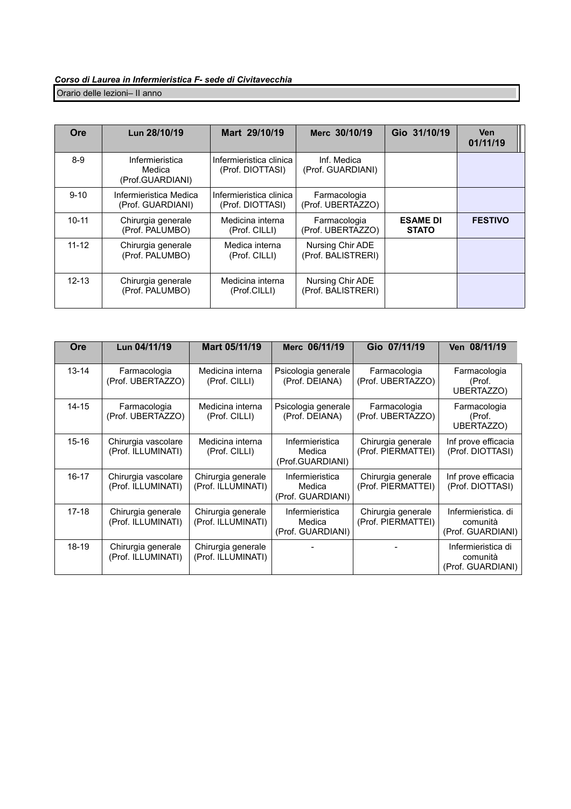### *Corso di Laurea in Infermieristica F- sede di Civitavecchia* Orario delle lezioni– II anno

| <b>Ore</b> | Lun 28/10/19                                  | Mart 29/10/19                               | Merc 30/10/19                          | Gio 31/10/19                    | <b>Ven</b><br>01/11/19 |
|------------|-----------------------------------------------|---------------------------------------------|----------------------------------------|---------------------------------|------------------------|
| $8-9$      | Infermieristica<br>Medica<br>(Prof.GUARDIANI) | Infermieristica clinica<br>(Prof. DIOTTASI) | Inf. Medica<br>(Prof. GUARDIANI)       |                                 |                        |
| $9 - 10$   | Infermieristica Medica<br>(Prof. GUARDIANI)   | Infermieristica clinica<br>(Prof. DIOTTASI) | Farmacologia<br>(Prof. UBERTAZZO)      |                                 |                        |
| $10 - 11$  | Chirurgia generale<br>(Prof. PALUMBO)         | Medicina interna<br>(Prof. CILLI)           | Farmacologia<br>(Prof. UBERTAZZO)      | <b>ESAME DI</b><br><b>STATO</b> | <b>FESTIVO</b>         |
| $11 - 12$  | Chirurgia generale<br>(Prof. PALUMBO)         | Medica interna<br>(Prof. CILLI)             | Nursing Chir ADE<br>(Prof. BALISTRERI) |                                 |                        |
| $12 - 13$  | Chirurgia generale<br>(Prof. PALUMBO)         | Medicina interna<br>(Prof.CILLI)            | Nursing Chir ADE<br>(Prof. BALISTRERI) |                                 |                        |

| <b>Ore</b> | Lun 04/11/19                              | Mart 05/11/19                            | Merc 06/11/19                                  | Gio 07/11/19                             | Ven 08/11/19                                         |
|------------|-------------------------------------------|------------------------------------------|------------------------------------------------|------------------------------------------|------------------------------------------------------|
| $13 - 14$  | Farmacologia<br>(Prof. UBERTAZZO)         | Medicina interna<br>(Prof. CILLI)        | Psicologia generale<br>(Prof. DEIANA)          | Farmacologia<br>(Prof. UBERTAZZO)        | Farmacologia<br>(Prof.<br>UBERTAZZO)                 |
| $14 - 15$  | Farmacologia<br>(Prof. UBERTAZZO)         | Medicina interna<br>(Prof. CILLI)        | Psicologia generale<br>(Prof. DEIANA)          | Farmacologia<br>(Prof. UBERTAZZO)        | Farmacologia<br>(Prof.<br>UBERTAZZO)                 |
| $15 - 16$  | Chirurgia vascolare<br>(Prof. ILLUMINATI) | Medicina interna<br>(Prof. CILLI)        | Infermieristica<br>Medica<br>(Prof.GUARDIANI)  | Chirurgia generale<br>(Prof. PIERMATTEI) | Inf prove efficacia<br>(Prof. DIOTTASI)              |
| $16 - 17$  | Chirurgia vascolare<br>(Prof. ILLUMINATI) | Chirurgia generale<br>(Prof. ILLUMINATI) | Infermieristica<br>Medica<br>(Prof. GUARDIANI) | Chirurgia generale<br>(Prof. PIERMATTEI) | Inf prove efficacia<br>(Prof. DIOTTASI)              |
| $17 - 18$  | Chirurgia generale<br>(Prof. ILLUMINATI)  | Chirurgia generale<br>(Prof. ILLUMINATI) | Infermieristica<br>Medica<br>(Prof. GUARDIANI) | Chirurgia generale<br>(Prof. PIERMATTEI) | Infermieristica, di<br>comunità<br>(Prof. GUARDIANI) |
| 18-19      | Chirurgia generale<br>(Prof. ILLUMINATI)  | Chirurgia generale<br>(Prof. ILLUMINATI) |                                                |                                          | Infermieristica di<br>comunità<br>(Prof. GUARDIANI)  |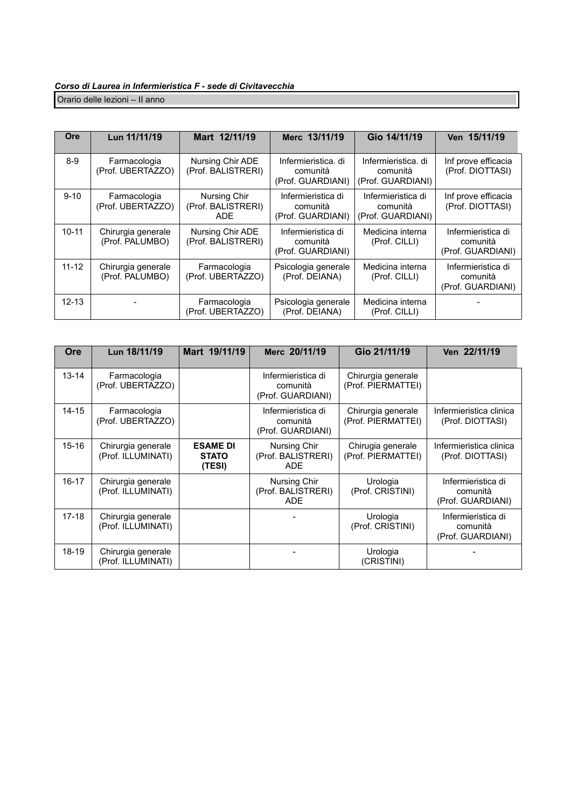Orario delle lezioni – II anno

| Ore       | Lun 11/11/19                          | Mart 12/11/19                              | Merc 13/11/19                                        | Gio 14/11/19                                         | Ven 15/11/19                                        |
|-----------|---------------------------------------|--------------------------------------------|------------------------------------------------------|------------------------------------------------------|-----------------------------------------------------|
| $8-9$     | Farmacologia<br>(Prof. UBERTAZZO)     | Nursing Chir ADE<br>(Prof. BALISTRERI)     | Infermieristica, di<br>comunità<br>(Prof. GUARDIANI) | Infermieristica, di<br>comunità<br>(Prof. GUARDIANI) | Inf prove efficacia<br>(Prof. DIOTTASI)             |
| $9 - 10$  | Farmacologia<br>(Prof. UBERTAZZO)     | Nursing Chir<br>(Prof. BALISTRERI)<br>ADE. | Infermieristica di<br>comunità<br>(Prof. GUARDIANI)  | Infermieristica di<br>comunità<br>(Prof. GUARDIANI)  | Inf prove efficacia<br>(Prof. DIOTTASI)             |
| $10 - 11$ | Chirurgia generale<br>(Prof. PALUMBO) | Nursing Chir ADE<br>(Prof. BALISTRERI)     | Infermieristica di<br>comunità<br>(Prof. GUARDIANI)  | Medicina interna<br>(Prof. CILLI)                    | Infermieristica di<br>comunità<br>(Prof. GUARDIANI) |
| $11 - 12$ | Chirurgia generale<br>(Prof. PALUMBO) | Farmacologia<br>(Prof. UBERTAZZO)          | Psicologia generale<br>(Prof. DEIANA)                | Medicina interna<br>(Prof. CILLI)                    | Infermieristica di<br>comunità<br>(Prof. GUARDIANI) |
| $12 - 13$ |                                       | Farmacologia<br>(Prof. UBERTAZZO)          | Psicologia generale<br>(Prof. DEIANA)                | Medicina interna<br>(Prof. CILLI)                    |                                                     |

| Ore       | Lun 18/11/19                             | Mart 19/11/19                             | Merc 20/11/19                                       | Gio 21/11/19                             | Ven 22/11/19                                        |
|-----------|------------------------------------------|-------------------------------------------|-----------------------------------------------------|------------------------------------------|-----------------------------------------------------|
| $13 - 14$ | Farmacologia<br>(Prof. UBERTAZZO)        |                                           | Infermieristica di<br>comunità<br>(Prof. GUARDIANI) | Chirurgia generale<br>(Prof. PIERMATTEI) |                                                     |
| 14-15     | Farmacologia<br>(Prof. UBERTAZZO)        |                                           | Infermieristica di<br>comunità<br>(Prof. GUARDIANI) | Chirurgia generale<br>(Prof. PIERMATTEI) | Infermieristica clinica<br>(Prof. DIOTTASI)         |
| 15-16     | Chirurgia generale<br>(Prof. ILLUMINATI) | <b>ESAME DI</b><br><b>STATO</b><br>(TESI) | Nursing Chir<br>(Prof. BALISTRERI)<br>ADE           | Chirugia generale<br>(Prof. PIERMATTEI)  | Infermieristica clinica<br>(Prof. DIOTTASI)         |
| $16 - 17$ | Chirurgia generale<br>(Prof. ILLUMINATI) |                                           | Nursing Chir<br>(Prof. BALISTRERI)<br><b>ADE</b>    | Urologia<br>(Prof. CRISTINI)             | Infermieristica di<br>comunità<br>(Prof. GUARDIANI) |
| $17-18$   | Chirurgia generale<br>(Prof. ILLUMINATI) |                                           |                                                     | Urologia<br>(Prof. CRISTINI)             | Infermieristica di<br>comunità<br>(Prof. GUARDIANI) |
| 18-19     | Chirurgia generale<br>(Prof. ILLUMINATI) |                                           |                                                     | Urologia<br>(CRISTINI)                   |                                                     |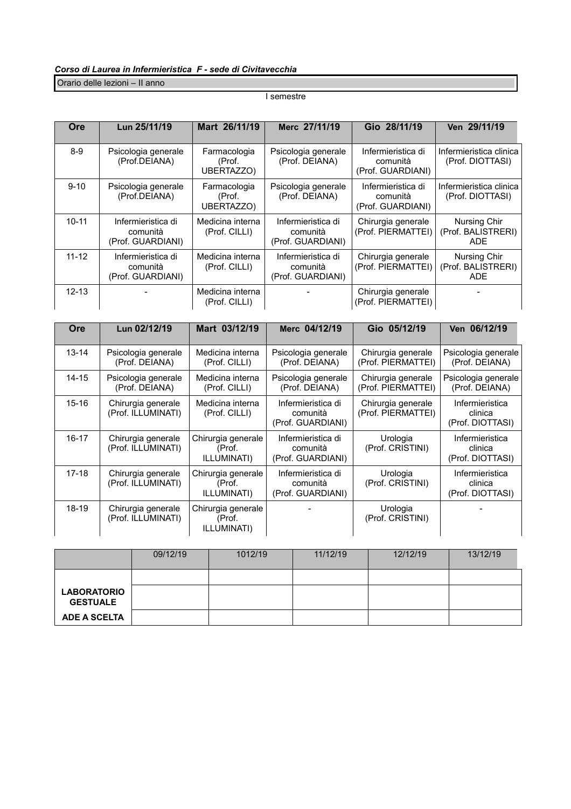Orario delle lezioni – II anno

#### I semestre

| <b>Ore</b> | Lun 25/11/19                                        | Mart 26/11/19                        | Merc 27/11/19                                       | Gio 28/11/19                                        | Ven 29/11/19                                     |
|------------|-----------------------------------------------------|--------------------------------------|-----------------------------------------------------|-----------------------------------------------------|--------------------------------------------------|
| $8-9$      | Psicologia generale<br>(Prof.DEIANA)                | Farmacologia<br>(Prof.<br>UBERTAZZO) | Psicologia generale<br>(Prof. DEIANA)               | Infermieristica di<br>comunità<br>(Prof. GUARDIANI) | Infermieristica clinica<br>(Prof. DIOTTASI)      |
| $9 - 10$   | Psicologia generale<br>(Prof.DEIANA)                | Farmacologia<br>(Prof.<br>UBERTAZZO) | Psicologia generale<br>(Prof. DEIANA)               | Infermieristica di<br>comunità<br>(Prof. GUARDIANI) | Infermieristica clinica<br>(Prof. DIOTTASI)      |
| $10 - 11$  | Infermieristica di<br>comunità<br>(Prof. GUARDIANI) | Medicina interna<br>(Prof. CILLI)    | Infermieristica di<br>comunità<br>(Prof. GUARDIANI) | Chirurgia generale<br>(Prof. PIERMATTEI)            | Nursing Chir<br>(Prof. BALISTRERI)<br><b>ADE</b> |
| $11 - 12$  | Infermieristica di<br>comunità<br>(Prof. GUARDIANI) | Medicina interna<br>(Prof. CILLI)    | Infermieristica di<br>comunità<br>(Prof. GUARDIANI) | Chirurgia generale<br>(Prof. PIERMATTEI)            | Nursing Chir<br>(Prof. BALISTRERI)<br><b>ADE</b> |
| $12 - 13$  |                                                     | Medicina interna<br>(Prof. CILLI)    |                                                     | Chirurgia generale<br>(Prof. PIERMATTEI)            |                                                  |

| Ore       | Lun 02/12/19                             | Mart 03/12/19                               | Merc 04/12/19                                       | Gio 05/12/19                             | Ven 06/12/19                                   |
|-----------|------------------------------------------|---------------------------------------------|-----------------------------------------------------|------------------------------------------|------------------------------------------------|
| $13 - 14$ | Psicologia generale<br>(Prof. DEIANA)    | Medicina interna<br>(Prof. CILLI)           | Psicologia generale<br>(Prof. DEIANA)               | Chirurgia generale<br>(Prof. PIERMATTEI) | Psicologia generale<br>(Prof. DEIANA)          |
| $14 - 15$ | Psicologia generale<br>(Prof. DEIANA)    | Medicina interna<br>(Prof. CILLI)           | Psicologia generale<br>(Prof. DEIANA)               | Chirurgia generale<br>(Prof. PIERMATTEI) | Psicologia generale<br>(Prof. DEIANA)          |
| $15 - 16$ | Chirurgia generale<br>(Prof. ILLUMINATI) | Medicina interna<br>(Prof. CILLI)           | Infermieristica di<br>comunità<br>(Prof. GUARDIANI) | Chirurgia generale<br>(Prof. PIERMATTEI) | Infermieristica<br>clinica<br>(Prof. DIOTTASI) |
| $16 - 17$ | Chirurgia generale<br>(Prof. ILLUMINATI) | Chirurgia generale<br>(Prof.<br>ILLUMINATI) | Infermieristica di<br>comunità<br>(Prof. GUARDIANI) | Urologia<br>(Prof. CRISTINI)             | Infermieristica<br>clinica<br>(Prof. DIOTTASI) |
| $17-18$   | Chirurgia generale<br>(Prof. ILLUMINATI) | Chirurgia generale<br>(Prof.<br>ILLUMINATI) | Infermieristica di<br>comunità<br>(Prof. GUARDIANI) | Urologia<br>(Prof. CRISTINI)             | Infermieristica<br>clinica<br>(Prof. DIOTTASI) |
| 18-19     | Chirurgia generale<br>(Prof. ILLUMINATI) | Chirurgia generale<br>(Prof.<br>ILLUMINATI) |                                                     | Urologia<br>(Prof. CRISTINI)             |                                                |

|                                       | 09/12/19 | 1012/19 | 11/12/19 | 12/12/19 | 13/12/19 |
|---------------------------------------|----------|---------|----------|----------|----------|
|                                       |          |         |          |          |          |
| <b>LABORATORIO</b><br><b>GESTUALE</b> |          |         |          |          |          |
| <b>ADE A SCELTA</b>                   |          |         |          |          |          |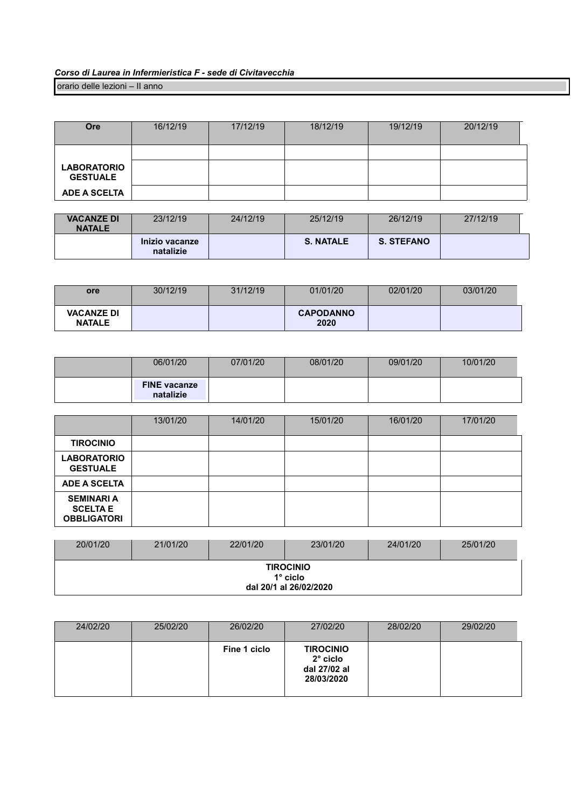orario delle lezioni – II anno

| <b>Ore</b>                             | 16/12/19 | 17/12/19 | 18/12/19 | 19/12/19 | 20/12/19 |
|----------------------------------------|----------|----------|----------|----------|----------|
| <b>LABORATORIO</b>                     |          |          |          |          |          |
| <b>GESTUALE</b><br><b>ADE A SCELTA</b> |          |          |          |          |          |

| <b>VACANZE DI</b><br><b>NATALE</b> | 23/12/19                    | 24/12/19 | 25/12/19         | 26/12/19          | 27/12/19 |
|------------------------------------|-----------------------------|----------|------------------|-------------------|----------|
|                                    | Inizio vacanze<br>natalizie |          | <b>S. NATALE</b> | <b>S. STEFANO</b> |          |

| <b>ore</b>                         | 30/12/19 | 31/12/19 | 01/01/20                 | 02/01/20 | 03/01/20 |
|------------------------------------|----------|----------|--------------------------|----------|----------|
| <b>VACANZE DI</b><br><b>NATALE</b> |          |          | <b>CAPODANNO</b><br>2020 |          |          |

| 06/01/20                         | 07/01/20 | 08/01/20 | 09/01/20 | 10/01/20 |
|----------------------------------|----------|----------|----------|----------|
| <b>FINE</b> vacanze<br>natalizie |          |          |          |          |

|                                                            | 13/01/20 | 14/01/20 | 15/01/20 | 16/01/20 | 17/01/20 |
|------------------------------------------------------------|----------|----------|----------|----------|----------|
| <b>TIROCINIO</b>                                           |          |          |          |          |          |
| <b>LABORATORIO</b><br><b>GESTUALE</b>                      |          |          |          |          |          |
| <b>ADE A SCELTA</b>                                        |          |          |          |          |          |
| <b>SEMINARI A</b><br><b>SCELTA E</b><br><b>OBBLIGATORI</b> |          |          |          |          |          |

| 20/01/20 | 21/01/20 | 22/01/20 | 23/01/20                                                      | 24/01/20 | 25/01/20 |
|----------|----------|----------|---------------------------------------------------------------|----------|----------|
|          |          |          | <b>TIROCINIO</b><br>$1^\circ$ ciclo<br>dal 20/1 al 26/02/2020 |          |          |

| 24/02/20 | 25/02/20 | 26/02/20     | 27/02/20                                                          | 28/02/20 | 29/02/20 |
|----------|----------|--------------|-------------------------------------------------------------------|----------|----------|
|          |          | Fine 1 ciclo | <b>TIROCINIO</b><br>$2^\circ$ ciclo<br>dal 27/02 al<br>28/03/2020 |          |          |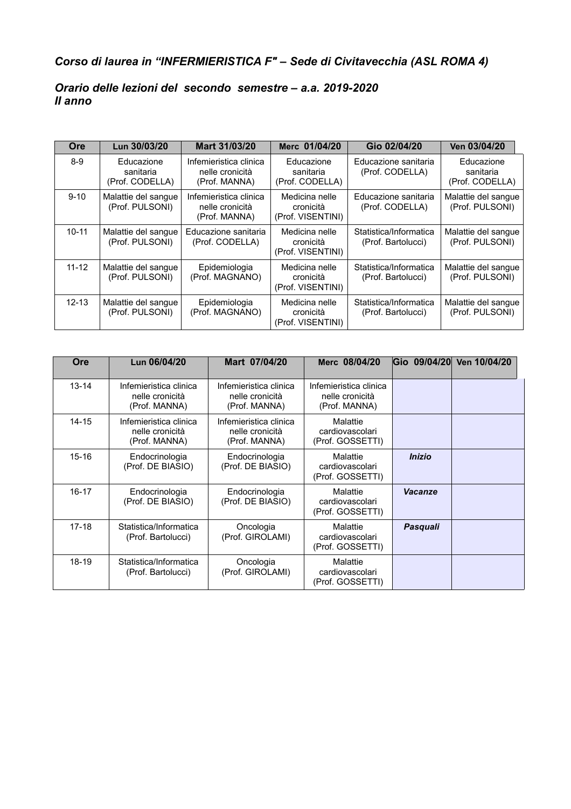# *Corso di laurea in "INFERMIERISTICA F" – Sede di Civitavecchia (ASL ROMA 4)*

### *Orario delle lezioni del secondo semestre – a.a. 2019-2020 II anno*

| <b>Ore</b> | Lun 30/03/20                               | Mart 31/03/20                                              | Merc 01/04/20                                    | Gio 02/04/20                                 | Ven 03/04/20                               |
|------------|--------------------------------------------|------------------------------------------------------------|--------------------------------------------------|----------------------------------------------|--------------------------------------------|
| $8 - 9$    | Educazione<br>sanitaria<br>(Prof. CODELLA) | Infemieristica clinica<br>nelle cronicità<br>(Prof. MANNA) | Educazione<br>sanitaria<br>(Prof. CODELLA)       | Educazione sanitaria<br>(Prof. CODELLA)      | Educazione<br>sanitaria<br>(Prof. CODELLA) |
| $9 - 10$   | Malattie del sangue<br>(Prof. PULSONI)     | Infemieristica clinica<br>nelle cronicità<br>(Prof. MANNA) | Medicina nelle<br>cronicità<br>(Prof. VISENTINI) | Educazione sanitaria<br>(Prof. CODELLA)      | Malattie del sangue<br>(Prof. PULSONI)     |
| $10 - 11$  | Malattie del sangue<br>(Prof. PULSONI)     | Educazione sanitaria<br>(Prof. CODELLA)                    | Medicina nelle<br>cronicità<br>(Prof. VISENTINI) | Statistica/Informatica<br>(Prof. Bartolucci) | Malattie del sangue<br>(Prof. PULSONI)     |
| $11 - 12$  | Malattie del sangue<br>(Prof. PULSONI)     | Epidemiologia<br>(Prof. MAGNANO)                           | Medicina nelle<br>cronicità<br>(Prof. VISENTINI) | Statistica/Informatica<br>(Prof. Bartolucci) | Malattie del sangue<br>(Prof. PULSONI)     |
| $12 - 13$  | Malattie del sangue<br>(Prof. PULSONI)     | Epidemiologia<br>(Prof. MAGNANO)                           | Medicina nelle<br>cronicità<br>(Prof. VISENTINI) | Statistica/Informatica<br>(Prof. Bartolucci) | Malattie del sangue<br>(Prof. PULSONI)     |

| Ore       | Lun 06/04/20                                               | Mart 07/04/20                                              | Merc 08/04/20                                              | Gio 09/04/20  | Ven 10/04/20 |
|-----------|------------------------------------------------------------|------------------------------------------------------------|------------------------------------------------------------|---------------|--------------|
| $13 - 14$ | Infemieristica clinica<br>nelle cronicità<br>(Prof. MANNA) | Infemieristica clinica<br>nelle cronicità<br>(Prof. MANNA) | Infemieristica clinica<br>nelle cronicità<br>(Prof. MANNA) |               |              |
| $14 - 15$ | Infemieristica clinica<br>nelle cronicità<br>(Prof. MANNA) | Infemieristica clinica<br>nelle cronicità<br>(Prof. MANNA) | Malattie<br>cardiovascolari<br>(Prof. GOSSETTI)            |               |              |
| $15 - 16$ | Endocrinologia<br>(Prof. DE BIASIO)                        | Endocrinologia<br>(Prof. DE BIASIO)                        | Malattie<br>cardiovascolari<br>(Prof. GOSSETTI)            | <b>Inizio</b> |              |
| $16 - 17$ | Endocrinologia<br>(Prof. DE BIASIO)                        | Endocrinologia<br>(Prof. DE BIASIO)                        | Malattie<br>cardiovascolari<br>(Prof. GOSSETTI)            | Vacanze       |              |
| $17 - 18$ | Statistica/Informatica<br>(Prof. Bartolucci)               | Oncologia<br>(Prof. GIROLAMI)                              | Malattie<br>cardiovascolari<br>(Prof. GOSSETTI)            | Pasquali      |              |
| 18-19     | Statistica/Informatica<br>(Prof. Bartolucci)               | Oncologia<br>(Prof. GIROLAMI)                              | Malattie<br>cardiovascolari<br>(Prof. GOSSETTI)            |               |              |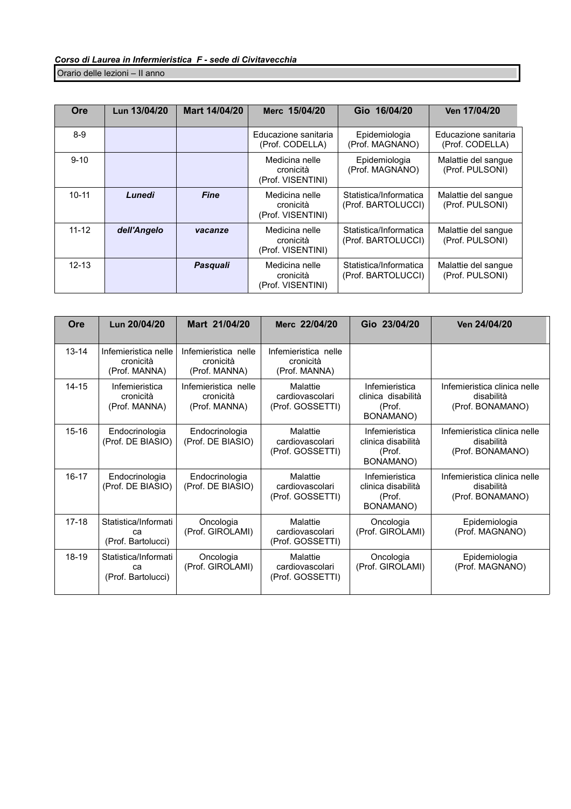Orario delle lezioni – II anno

| Ore       | Lun 13/04/20 | Mart 14/04/20 | Merc 15/04/20                                    | Gio 16/04/20                                 | Ven 17/04/20                            |
|-----------|--------------|---------------|--------------------------------------------------|----------------------------------------------|-----------------------------------------|
| $8-9$     |              |               | Educazione sanitaria<br>(Prof. CODELLA)          | Epidemiologia<br>(Prof. MAGNANO)             | Educazione sanitaria<br>(Prof. CODELLA) |
| $9 - 10$  |              |               | Medicina nelle<br>cronicità<br>(Prof. VISENTINI) | Epidemiologia<br>(Prof. MAGNANO)             | Malattie del sangue<br>(Prof. PULSONI)  |
| $10 - 11$ | Lunedì       | <b>Fine</b>   | Medicina nelle<br>cronicità<br>(Prof. VISENTINI) | Statistica/Informatica<br>(Prof. BARTOLUCCI) | Malattie del sangue<br>(Prof. PULSONI)  |
| $11 - 12$ | dell'Angelo  | vacanze       | Medicina nelle<br>cronicità<br>(Prof. VISENTINI) | Statistica/Informatica<br>(Prof. BARTOLUCCI) | Malattie del sangue<br>(Prof. PULSONI)  |
| $12 - 13$ |              | Pasquali      | Medicina nelle<br>cronicità<br>(Prof. VISENTINI) | Statistica/Informatica<br>(Prof. BARTOLUCCI) | Malattie del sangue<br>(Prof. PULSONI)  |

| Ore       | Lun 20/04/20                                       | Mart 21/04/20                                      | Merc 22/04/20                                      | Gio 23/04/20                                                | Ven 24/04/20                                                   |
|-----------|----------------------------------------------------|----------------------------------------------------|----------------------------------------------------|-------------------------------------------------------------|----------------------------------------------------------------|
| $13 - 14$ | Infemieristica nelle<br>cronicità<br>(Prof. MANNA) | Infemieristica nelle<br>cronicità<br>(Prof. MANNA) | Infemieristica nelle<br>cronicità<br>(Prof. MANNA) |                                                             |                                                                |
| $14 - 15$ | Infemieristica<br>cronicità<br>(Prof. MANNA)       | Infemieristica nelle<br>cronicità<br>(Prof. MANNA) | Malattie<br>cardiovascolari<br>(Prof. GOSSETTI)    | Infemieristica<br>clinica disabilità<br>(Prof.<br>BONAMANO) | Infemieristica clinica nelle<br>disabilità<br>(Prof. BONAMANO) |
| $15 - 16$ | Endocrinologia<br>(Prof. DE BIASIO)                | Endocrinologia<br>(Prof. DE BIASIO)                | Malattie<br>cardiovascolari<br>(Prof. GOSSETTI)    | Infemieristica<br>clinica disabilità<br>(Prof.<br>BONAMANO) | Infemieristica clinica nelle<br>disabilità<br>(Prof. BONAMANO) |
| $16 - 17$ | Endocrinologia<br>(Prof. DE BIASIO)                | Endocrinologia<br>(Prof. DE BIASIO)                | Malattie<br>cardiovascolari<br>(Prof. GOSSETTI)    | Infemieristica<br>clinica disabilità<br>(Prof.<br>BONAMANO) | Infemieristica clinica nelle<br>disabilità<br>(Prof. BONAMANO) |
| $17 - 18$ | Statistica/Informati<br>cа<br>(Prof. Bartolucci)   | Oncologia<br>(Prof. GIROLAMI)                      | Malattie<br>cardiovascolari<br>(Prof. GOSSETTI)    | Oncologia<br>(Prof. GIROLAMI)                               | Epidemiologia<br>(Prof. MAGNANO)                               |
| 18-19     | Statistica/Informati<br>ca<br>(Prof. Bartolucci)   | Oncologia<br>(Prof. GIROLAMI)                      | Malattie<br>cardiovascolari<br>(Prof. GOSSETTI)    | Oncologia<br>(Prof. GIROLAMI)                               | Epidemiologia<br>(Prof. MAGNANO)                               |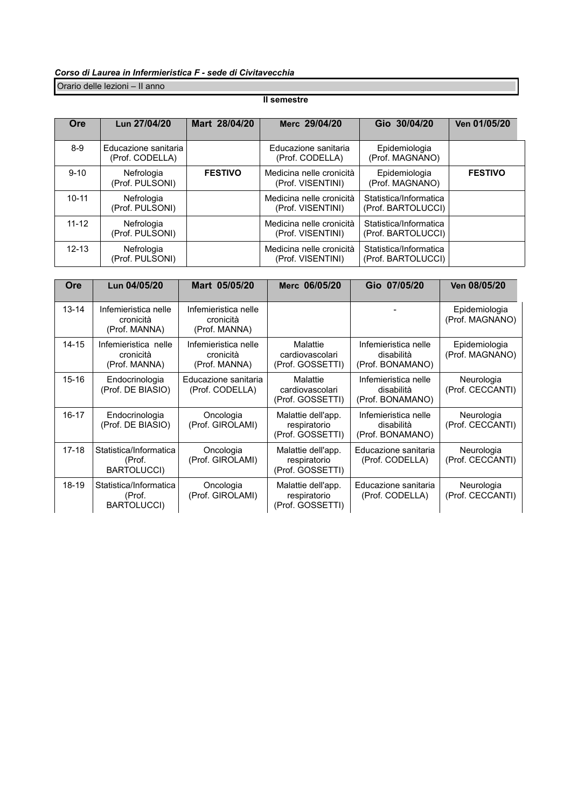Orario delle lezioni – II anno

#### **II semestre**

| Ore       | Lun 27/04/20                            | Mart 28/04/20  | Merc 29/04/20                                 | Gio 30/04/20                                 | Ven 01/05/20   |
|-----------|-----------------------------------------|----------------|-----------------------------------------------|----------------------------------------------|----------------|
| $8-9$     | Educazione sanitaria<br>(Prof. CODELLA) |                | Educazione sanitaria<br>(Prof. CODELLA)       | Epidemiologia<br>(Prof. MAGNANO)             |                |
| $9 - 10$  | Nefrologia<br>(Prof. PULSONI)           | <b>FESTIVO</b> | Medicina nelle cronicità<br>(Prof. VISENTINI) | Epidemiologia<br>(Prof. MAGNANO)             | <b>FESTIVO</b> |
| $10 - 11$ | Nefrologia<br>(Prof. PULSONI)           |                | Medicina nelle cronicità<br>(Prof. VISENTINI) | Statistica/Informatica<br>(Prof. BARTOLUCCI) |                |
| $11 - 12$ | Nefrologia<br>(Prof. PULSONI)           |                | Medicina nelle cronicità<br>(Prof. VISENTINI) | Statistica/Informatica<br>(Prof. BARTOLUCCI) |                |
| $12 - 13$ | Nefrologia<br>(Prof. PULSONI)           |                | Medicina nelle cronicità<br>(Prof. VISENTINI) | Statistica/Informatica<br>(Prof. BARTOLUCCI) |                |

| Ore       | Lun 04/05/20                                           | Mart 05/05/20                                      | Merc 06/05/20                                          | Gio 07/05/20                                           | Ven 08/05/20                     |
|-----------|--------------------------------------------------------|----------------------------------------------------|--------------------------------------------------------|--------------------------------------------------------|----------------------------------|
| $13 - 14$ | Infemieristica nelle<br>cronicità<br>(Prof. MANNA)     | Infemieristica nelle<br>cronicità<br>(Prof. MANNA) |                                                        |                                                        | Epidemiologia<br>(Prof. MAGNANO) |
| $14 - 15$ | Infemieristica nelle<br>cronicità<br>(Prof. MANNA)     | Infemieristica nelle<br>cronicità<br>(Prof. MANNA) | Malattie<br>cardiovascolari<br>(Prof. GOSSETTI)        | Infemieristica nelle<br>disabilità<br>(Prof. BONAMANO) | Epidemiologia<br>(Prof. MAGNANO) |
| $15 - 16$ | Endocrinologia<br>(Prof. DE BIASIO)                    | Educazione sanitaria<br>(Prof. CODELLA)            | Malattie<br>cardiovascolari<br>(Prof. GOSSETTI)        | Infemieristica nelle<br>disabilità<br>(Prof. BONAMANO) | Neurologia<br>(Prof. CECCANTI)   |
| $16-17$   | Endocrinologia<br>(Prof. DE BIASIO)                    | Oncologia<br>(Prof. GIROLAMI)                      | Malattie dell'app.<br>respiratorio<br>(Prof. GOSSETTI) | Infemieristica nelle<br>disabilità<br>(Prof. BONAMANO) | Neurologia<br>(Prof. CECCANTI)   |
| $17 - 18$ | Statistica/Informatica<br>(Prof.<br><b>BARTOLUCCI)</b> | Oncologia<br>(Prof. GIROLAMI)                      | Malattie dell'app.<br>respiratorio<br>(Prof. GOSSETTI) | Educazione sanitaria<br>(Prof. CODELLA)                | Neurologia<br>(Prof. CECCANTI)   |
| 18-19     | Statistica/Informatica<br>(Prof.<br><b>BARTOLUCCI)</b> | Oncologia<br>(Prof. GIROLAMI)                      | Malattie dell'app.<br>respiratorio<br>(Prof. GOSSETTI) | Educazione sanitaria<br>(Prof. CODELLA)                | Neurologia<br>(Prof. CECCANTI)   |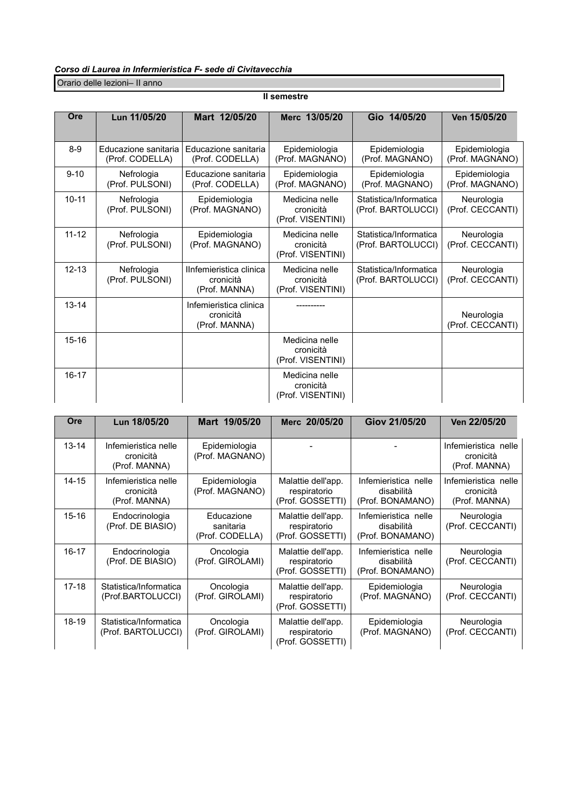| Ore       | Lun 11/05/20                            | Mart 12/05/20                                         | Merc 13/05/20                                    | Gio 14/05/20                                 | Ven 15/05/20                     |
|-----------|-----------------------------------------|-------------------------------------------------------|--------------------------------------------------|----------------------------------------------|----------------------------------|
| $8-9$     | Educazione sanitaria<br>(Prof. CODELLA) | Educazione sanitaria<br>(Prof. CODELLA)               | Epidemiologia<br>(Prof. MAGNANO)                 | Epidemiologia<br>(Prof. MAGNANO)             | Epidemiologia<br>(Prof. MAGNANO) |
| $9 - 10$  | Nefrologia<br>(Prof. PULSONI)           | Educazione sanitaria<br>(Prof. CODELLA)               | Epidemiologia<br>(Prof. MAGNANO)                 | Epidemiologia<br>(Prof. MAGNANO)             | Epidemiologia<br>(Prof. MAGNANO) |
| $10 - 11$ | Nefrologia<br>(Prof. PULSONI)           | Epidemiologia<br>(Prof. MAGNANO)                      | Medicina nelle<br>cronicità<br>(Prof. VISENTINI) | Statistica/Informatica<br>(Prof. BARTOLUCCI) | Neurologia<br>(Prof. CECCANTI)   |
| $11 - 12$ | Nefrologia<br>(Prof. PULSONI)           | Epidemiologia<br>(Prof. MAGNANO)                      | Medicina nelle<br>cronicità<br>(Prof. VISENTINI) | Statistica/Informatica<br>(Prof. BARTOLUCCI) | Neurologia<br>(Prof. CECCANTI)   |
| $12 - 13$ | Nefrologia<br>(Prof. PULSONI)           | IInfemieristica clinica<br>cronicità<br>(Prof. MANNA) | Medicina nelle<br>cronicità<br>(Prof. VISENTINI) | Statistica/Informatica<br>(Prof. BARTOLUCCI) | Neurologia<br>(Prof. CECCANTI)   |
| $13 - 14$ |                                         | Infemieristica clinica<br>cronicità<br>(Prof. MANNA)  |                                                  |                                              | Neurologia<br>(Prof. CECCANTI)   |
| $15 - 16$ |                                         |                                                       | Medicina nelle<br>cronicità<br>(Prof. VISENTINI) |                                              |                                  |
| $16 - 17$ |                                         |                                                       | Medicina nelle<br>cronicità<br>(Prof. VISENTINI) |                                              |                                  |

Orario delle lezioni– II anno

| Ore       | Lun 18/05/20                                       | Mart 19/05/20                              | Merc 20/05/20                                          | Giov 21/05/20                                          | Ven 22/05/20                                       |
|-----------|----------------------------------------------------|--------------------------------------------|--------------------------------------------------------|--------------------------------------------------------|----------------------------------------------------|
| $13 - 14$ | Infemieristica nelle<br>cronicità<br>(Prof. MANNA) | Epidemiologia<br>(Prof. MAGNANO)           |                                                        |                                                        | Infemieristica nelle<br>cronicità<br>(Prof. MANNA) |
| $14 - 15$ | Infemieristica nelle<br>cronicità<br>(Prof. MANNA) | Epidemiologia<br>(Prof. MAGNANO)           | Malattie dell'app.<br>respiratorio<br>(Prof. GOSSETTI) | Infemieristica nelle<br>disabilità<br>(Prof. BONAMANO) | Infemieristica nelle<br>cronicità<br>(Prof. MANNA) |
| $15 - 16$ | Endocrinologia<br>(Prof. DE BIASIO)                | Educazione<br>sanitaria<br>(Prof. CODELLA) | Malattie dell'app.<br>respiratorio<br>(Prof. GOSSETTI) | Infemieristica nelle<br>disabilità<br>(Prof. BONAMANO) | Neurologia<br>(Prof. CECCANTI)                     |
| $16 - 17$ | Endocrinologia<br>(Prof. DE BIASIO)                | Oncologia<br>(Prof. GIROLAMI)              | Malattie dell'app.<br>respiratorio<br>(Prof. GOSSETTI) | Infemieristica nelle<br>disabilità<br>(Prof. BONAMANO) | Neurologia<br>(Prof. CECCANTI)                     |
| $17 - 18$ | Statistica/Informatica<br>(Prof.BARTOLUCCI)        | Oncologia<br>(Prof. GIROLAMI)              | Malattie dell'app.<br>respiratorio<br>(Prof. GOSSETTI) | Epidemiologia<br>(Prof. MAGNANO)                       | Neurologia<br>(Prof. CECCANTI)                     |
| 18-19     | Statistica/Informatica<br>(Prof. BARTOLUCCI)       | Oncologia<br>(Prof. GIROLAMI)              | Malattie dell'app.<br>respiratorio<br>(Prof. GOSSETTI) | Epidemiologia<br>(Prof. MAGNANO)                       | Neurologia<br>(Prof. CECCANTI)                     |

#### **II semestre**